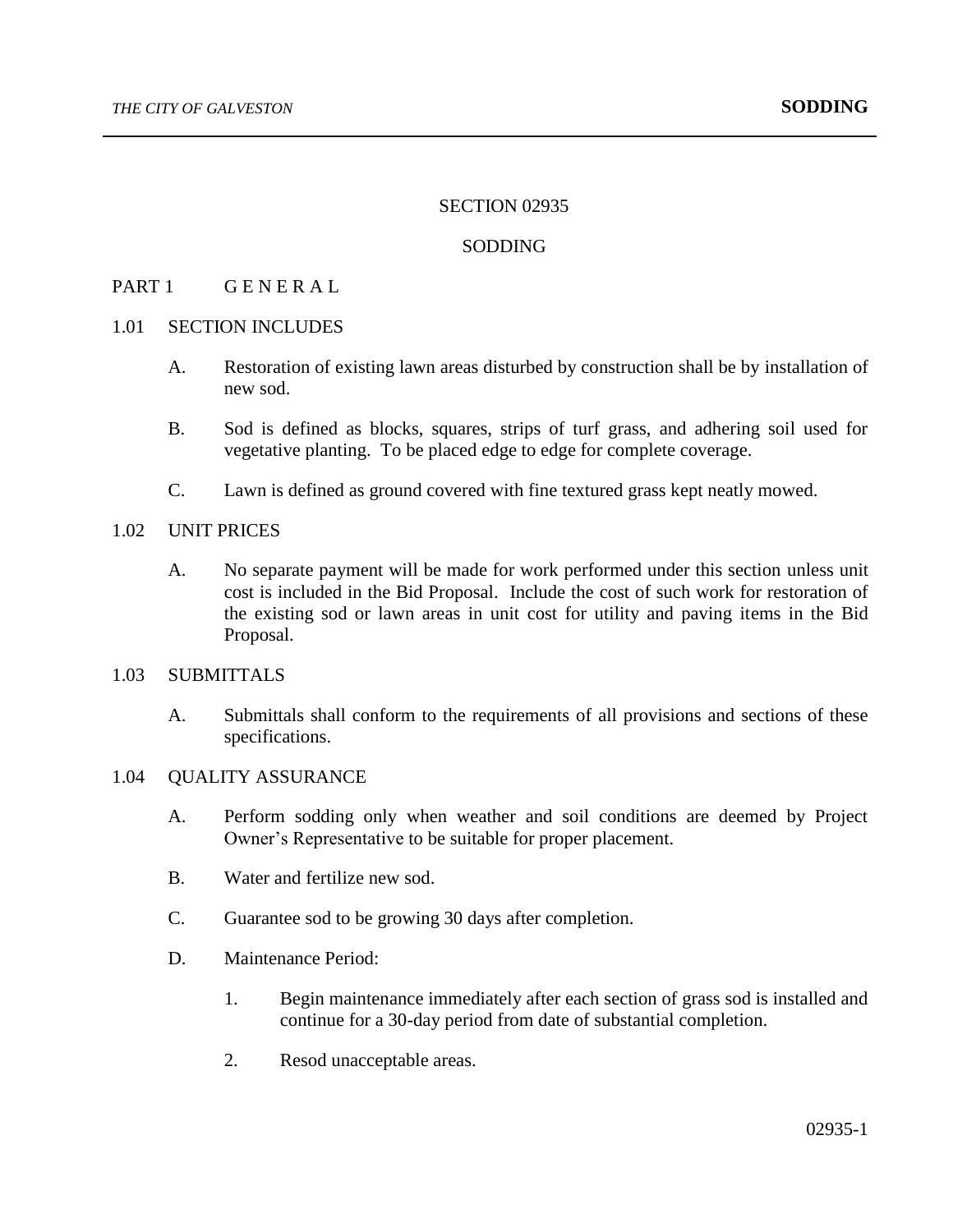#### SECTION 02935

### SODDING

# PART 1 GENERAL

### 1.01 SECTION INCLUDES

- A. Restoration of existing lawn areas disturbed by construction shall be by installation of new sod.
- B. Sod is defined as blocks, squares, strips of turf grass, and adhering soil used for vegetative planting. To be placed edge to edge for complete coverage.
- C. Lawn is defined as ground covered with fine textured grass kept neatly mowed.

## 1.02 UNIT PRICES

A. No separate payment will be made for work performed under this section unless unit cost is included in the Bid Proposal. Include the cost of such work for restoration of the existing sod or lawn areas in unit cost for utility and paving items in the Bid Proposal.

### 1.03 SUBMITTALS

A. Submittals shall conform to the requirements of all provisions and sections of these specifications.

## 1.04 QUALITY ASSURANCE

- A. Perform sodding only when weather and soil conditions are deemed by Project Owner's Representative to be suitable for proper placement.
- B. Water and fertilize new sod.
- C. Guarantee sod to be growing 30 days after completion.
- D. Maintenance Period:
	- 1. Begin maintenance immediately after each section of grass sod is installed and continue for a 30-day period from date of substantial completion.
	- 2. Resod unacceptable areas.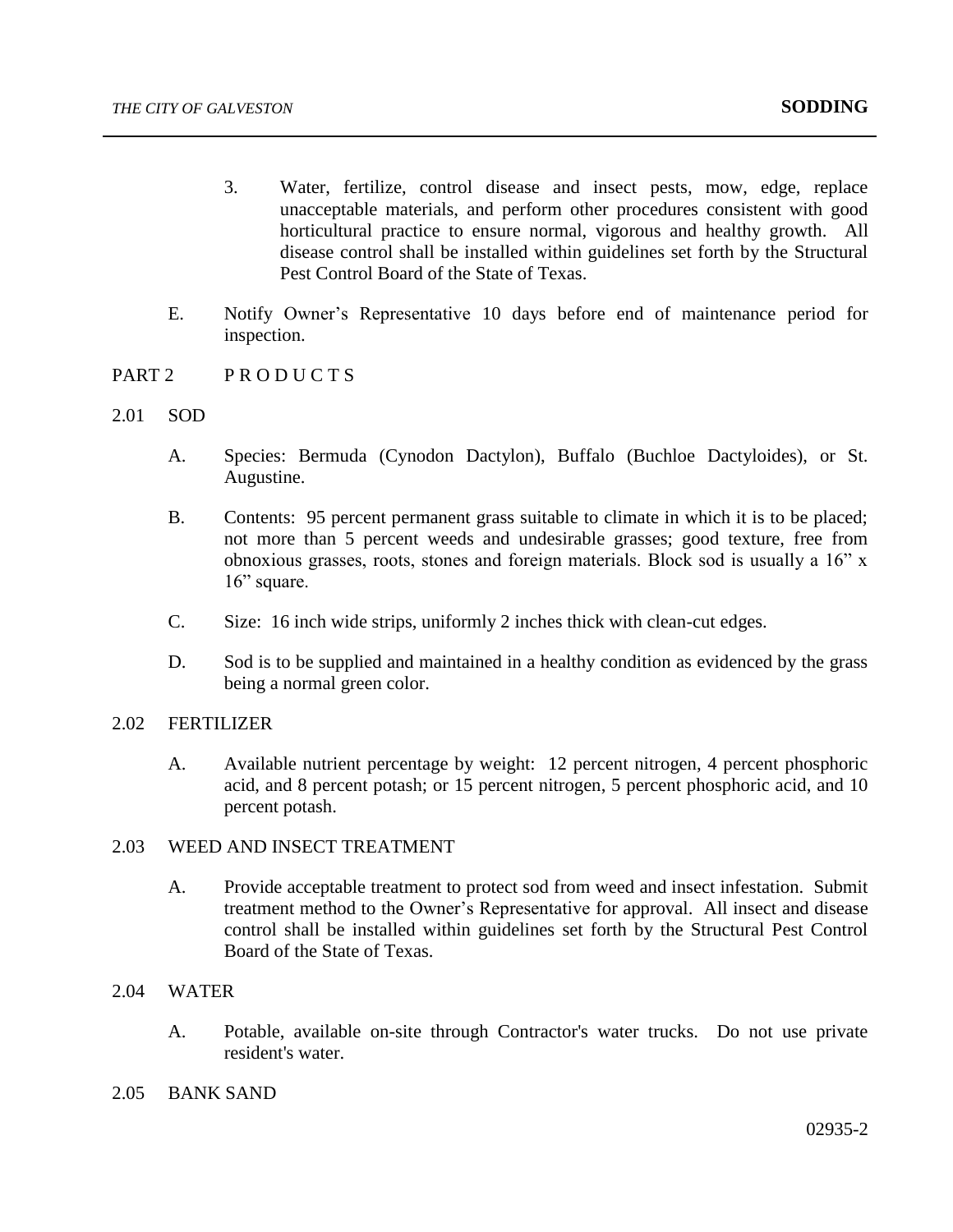- 3. Water, fertilize, control disease and insect pests, mow, edge, replace unacceptable materials, and perform other procedures consistent with good horticultural practice to ensure normal, vigorous and healthy growth. All disease control shall be installed within guidelines set forth by the Structural Pest Control Board of the State of Texas.
- E. Notify Owner's Representative 10 days before end of maintenance period for inspection.
- PART 2 PRODUCTS
- 2.01 SOD
	- A. Species: Bermuda (Cynodon Dactylon), Buffalo (Buchloe Dactyloides), or St. Augustine.
	- B. Contents: 95 percent permanent grass suitable to climate in which it is to be placed; not more than 5 percent weeds and undesirable grasses; good texture, free from obnoxious grasses, roots, stones and foreign materials. Block sod is usually a 16" x 16" square.
	- C. Size: 16 inch wide strips, uniformly 2 inches thick with clean-cut edges.
	- D. Sod is to be supplied and maintained in a healthy condition as evidenced by the grass being a normal green color.

# 2.02 FERTILIZER

- A. Available nutrient percentage by weight: 12 percent nitrogen, 4 percent phosphoric acid, and 8 percent potash; or 15 percent nitrogen, 5 percent phosphoric acid, and 10 percent potash.
- 2.03 WEED AND INSECT TREATMENT
	- A. Provide acceptable treatment to protect sod from weed and insect infestation. Submit treatment method to the Owner's Representative for approval. All insect and disease control shall be installed within guidelines set forth by the Structural Pest Control Board of the State of Texas.

## 2.04 WATER

- A. Potable, available on-site through Contractor's water trucks. Do not use private resident's water.
- 2.05 BANK SAND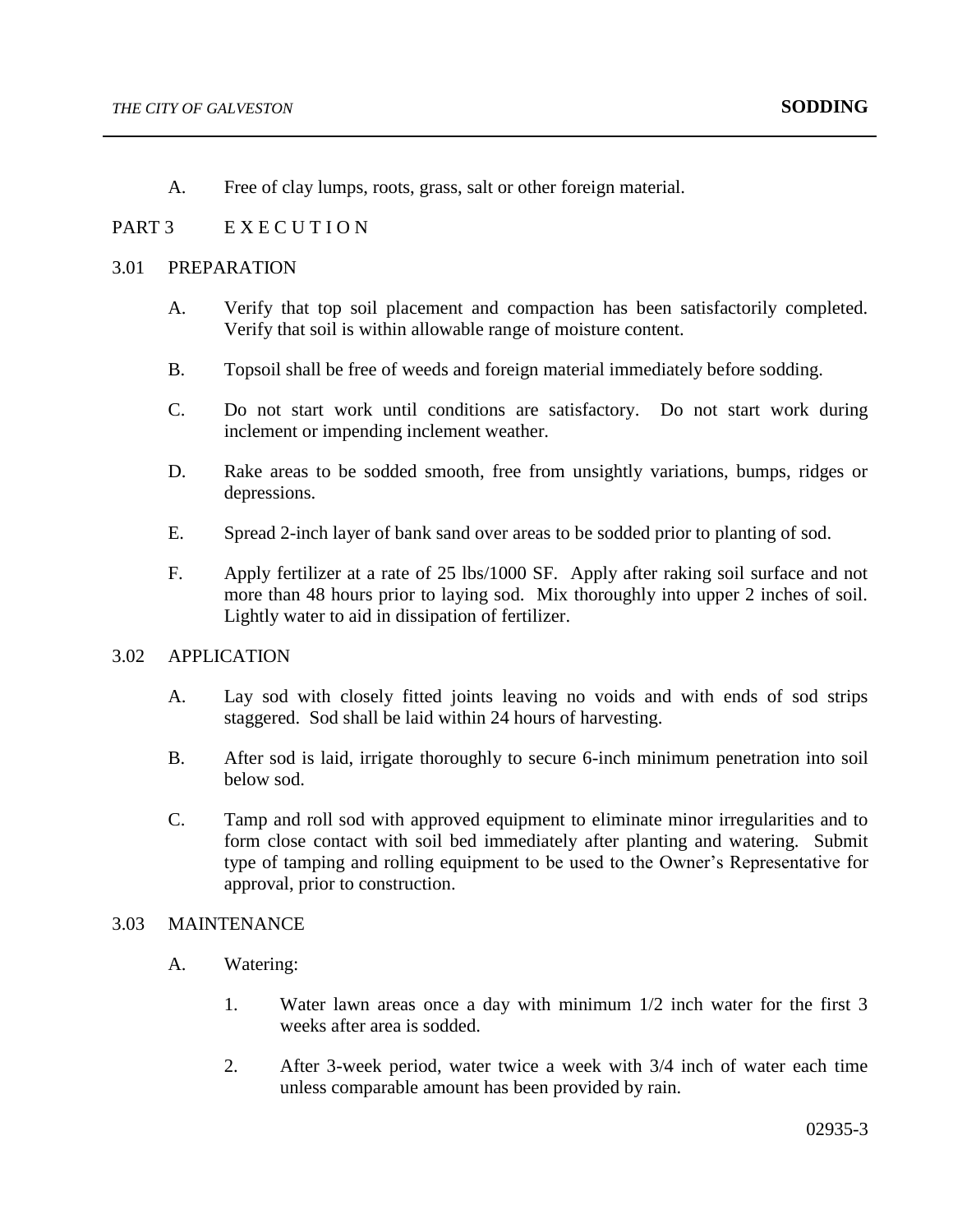A. Free of clay lumps, roots, grass, salt or other foreign material.

# PART 3 EXECUTION

#### 3.01 PREPARATION

- A. Verify that top soil placement and compaction has been satisfactorily completed. Verify that soil is within allowable range of moisture content.
- B. Topsoil shall be free of weeds and foreign material immediately before sodding.
- C. Do not start work until conditions are satisfactory. Do not start work during inclement or impending inclement weather.
- D. Rake areas to be sodded smooth, free from unsightly variations, bumps, ridges or depressions.
- E. Spread 2-inch layer of bank sand over areas to be sodded prior to planting of sod.
- F. Apply fertilizer at a rate of 25 lbs/1000 SF. Apply after raking soil surface and not more than 48 hours prior to laying sod. Mix thoroughly into upper 2 inches of soil. Lightly water to aid in dissipation of fertilizer.

## 3.02 APPLICATION

- A. Lay sod with closely fitted joints leaving no voids and with ends of sod strips staggered. Sod shall be laid within 24 hours of harvesting.
- B. After sod is laid, irrigate thoroughly to secure 6-inch minimum penetration into soil below sod.
- C. Tamp and roll sod with approved equipment to eliminate minor irregularities and to form close contact with soil bed immediately after planting and watering. Submit type of tamping and rolling equipment to be used to the Owner's Representative for approval, prior to construction.

## 3.03 MAINTENANCE

- A. Watering:
	- 1. Water lawn areas once a day with minimum 1/2 inch water for the first 3 weeks after area is sodded.
	- 2. After 3-week period, water twice a week with 3/4 inch of water each time unless comparable amount has been provided by rain.